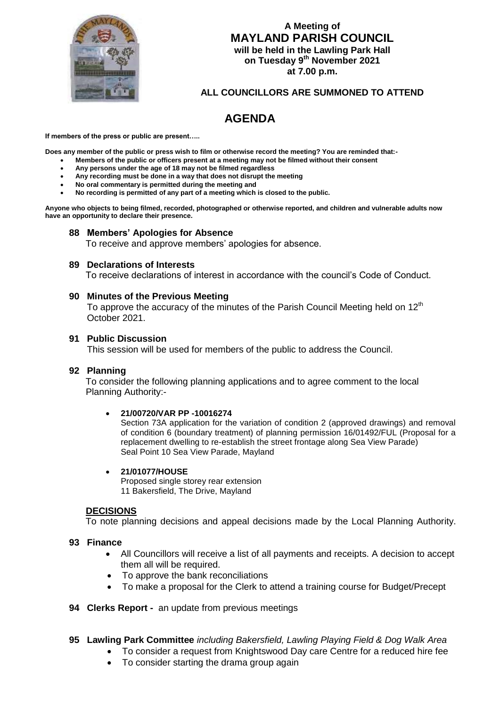

# **A Meeting of MAYLAND PARISH COUNCIL will be held in the Lawling Park Hall on Tuesday 9 th November 2021 at 7.00 p.m.**

## **ALL COUNCILLORS ARE SUMMONED TO ATTEND**

# **AGENDA**

**If members of the press or public are present…..**

**Does any member of the public or press wish to film or otherwise record the meeting? You are reminded that:-**

- **Members of the public or officers present at a meeting may not be filmed without their consent**
- **Any persons under the age of 18 may not be filmed regardless**
- **Any recording must be done in a way that does not disrupt the meeting**
- **No oral commentary is permitted during the meeting and**
- **No recording is permitted of any part of a meeting which is closed to the public.**

**Anyone who objects to being filmed, recorded, photographed or otherwise reported, and children and vulnerable adults now have an opportunity to declare their presence.**

#### **88 Members' Apologies for Absence**

To receive and approve members' apologies for absence.

#### **89 Declarations of Interests**

To receive declarations of interest in accordance with the council's Code of Conduct.

## **90 Minutes of the Previous Meeting**

To approve the accuracy of the minutes of the Parish Council Meeting held on  $12<sup>th</sup>$ October 2021.

#### **91 Public Discussion**

This session will be used for members of the public to address the Council.

## **92 Planning**

 To consider the following planning applications and to agree comment to the local Planning Authority:-

#### **21/00720/VAR PP -10016274**

Section 73A application for the variation of condition 2 (approved drawings) and removal of condition 6 (boundary treatment) of planning permission 16/01492/FUL (Proposal for a replacement dwelling to re-establish the street frontage along Sea View Parade) Seal Point 10 Sea View Parade, Mayland

#### **21/01077/HOUSE**

Proposed single storey rear extension 11 Bakersfield, The Drive, Mayland

#### **DECISIONS**

To note planning decisions and appeal decisions made by the Local Planning Authority.

#### **93 Finance**

- All Councillors will receive a list of all payments and receipts. A decision to accept them all will be required.
- To approve the bank reconciliations
- To make a proposal for the Clerk to attend a training course for Budget/Precept

## **94 Clerks Report -** an update from previous meetings

## **95 Lawling Park Committee** *including Bakersfield, Lawling Playing Field & Dog Walk Area*

- To consider a request from Knightswood Day care Centre for a reduced hire fee
- To consider starting the drama group again